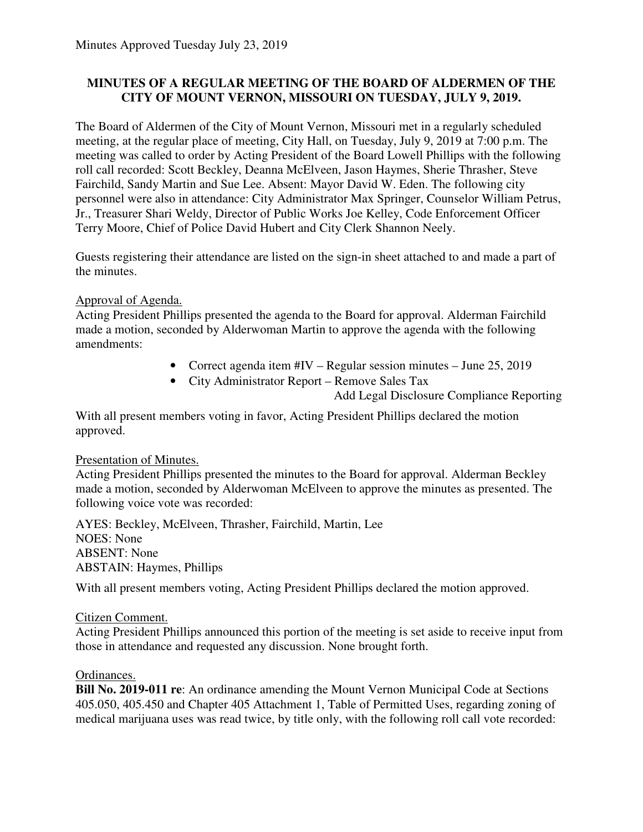# **MINUTES OF A REGULAR MEETING OF THE BOARD OF ALDERMEN OF THE CITY OF MOUNT VERNON, MISSOURI ON TUESDAY, JULY 9, 2019.**

The Board of Aldermen of the City of Mount Vernon, Missouri met in a regularly scheduled meeting, at the regular place of meeting, City Hall, on Tuesday, July 9, 2019 at 7:00 p.m. The meeting was called to order by Acting President of the Board Lowell Phillips with the following roll call recorded: Scott Beckley, Deanna McElveen, Jason Haymes, Sherie Thrasher, Steve Fairchild, Sandy Martin and Sue Lee. Absent: Mayor David W. Eden. The following city personnel were also in attendance: City Administrator Max Springer, Counselor William Petrus, Jr., Treasurer Shari Weldy, Director of Public Works Joe Kelley, Code Enforcement Officer Terry Moore, Chief of Police David Hubert and City Clerk Shannon Neely.

Guests registering their attendance are listed on the sign-in sheet attached to and made a part of the minutes.

# Approval of Agenda.

Acting President Phillips presented the agenda to the Board for approval. Alderman Fairchild made a motion, seconded by Alderwoman Martin to approve the agenda with the following amendments:

- Correct agenda item #IV Regular session minutes June 25, 2019
- City Administrator Report Remove Sales Tax
	- Add Legal Disclosure Compliance Reporting

With all present members voting in favor, Acting President Phillips declared the motion approved.

### Presentation of Minutes.

Acting President Phillips presented the minutes to the Board for approval. Alderman Beckley made a motion, seconded by Alderwoman McElveen to approve the minutes as presented. The following voice vote was recorded:

AYES: Beckley, McElveen, Thrasher, Fairchild, Martin, Lee NOES: None ABSENT: None ABSTAIN: Haymes, Phillips

With all present members voting, Acting President Phillips declared the motion approved.

### Citizen Comment.

Acting President Phillips announced this portion of the meeting is set aside to receive input from those in attendance and requested any discussion. None brought forth.

### Ordinances.

**Bill No. 2019-011 re**: An ordinance amending the Mount Vernon Municipal Code at Sections 405.050, 405.450 and Chapter 405 Attachment 1, Table of Permitted Uses, regarding zoning of medical marijuana uses was read twice, by title only, with the following roll call vote recorded: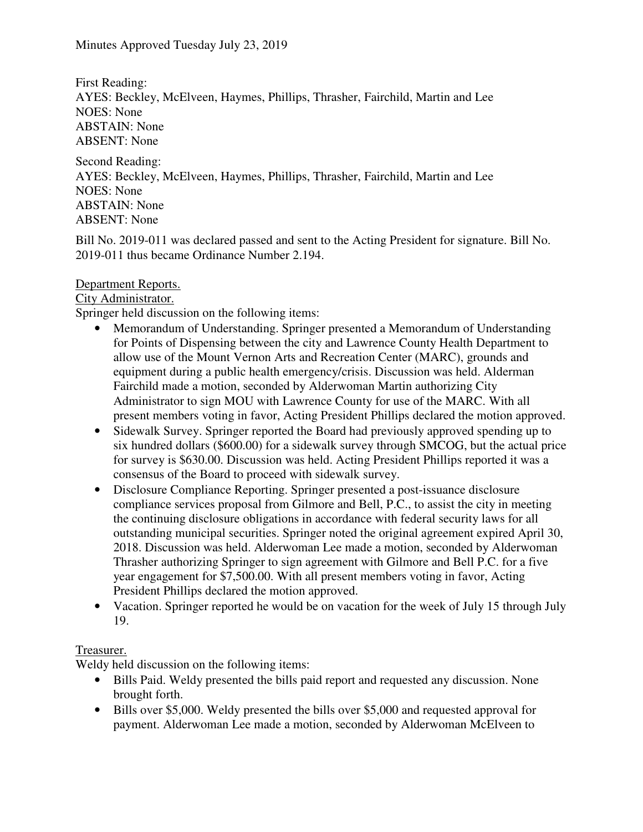First Reading: AYES: Beckley, McElveen, Haymes, Phillips, Thrasher, Fairchild, Martin and Lee NOES: None ABSTAIN: None ABSENT: None

Second Reading: AYES: Beckley, McElveen, Haymes, Phillips, Thrasher, Fairchild, Martin and Lee NOES: None ABSTAIN: None ABSENT: None

Bill No. 2019-011 was declared passed and sent to the Acting President for signature. Bill No. 2019-011 thus became Ordinance Number 2.194.

# Department Reports.

### City Administrator.

Springer held discussion on the following items:

- Memorandum of Understanding. Springer presented a Memorandum of Understanding for Points of Dispensing between the city and Lawrence County Health Department to allow use of the Mount Vernon Arts and Recreation Center (MARC), grounds and equipment during a public health emergency/crisis. Discussion was held. Alderman Fairchild made a motion, seconded by Alderwoman Martin authorizing City Administrator to sign MOU with Lawrence County for use of the MARC. With all present members voting in favor, Acting President Phillips declared the motion approved.
- Sidewalk Survey. Springer reported the Board had previously approved spending up to six hundred dollars (\$600.00) for a sidewalk survey through SMCOG, but the actual price for survey is \$630.00. Discussion was held. Acting President Phillips reported it was a consensus of the Board to proceed with sidewalk survey.
- Disclosure Compliance Reporting. Springer presented a post-issuance disclosure compliance services proposal from Gilmore and Bell, P.C., to assist the city in meeting the continuing disclosure obligations in accordance with federal security laws for all outstanding municipal securities. Springer noted the original agreement expired April 30, 2018. Discussion was held. Alderwoman Lee made a motion, seconded by Alderwoman Thrasher authorizing Springer to sign agreement with Gilmore and Bell P.C. for a five year engagement for \$7,500.00. With all present members voting in favor, Acting President Phillips declared the motion approved.
- Vacation. Springer reported he would be on vacation for the week of July 15 through July 19.

### Treasurer.

Weldy held discussion on the following items:

- Bills Paid. Weldy presented the bills paid report and requested any discussion. None brought forth.
- Bills over \$5,000. Weldy presented the bills over \$5,000 and requested approval for payment. Alderwoman Lee made a motion, seconded by Alderwoman McElveen to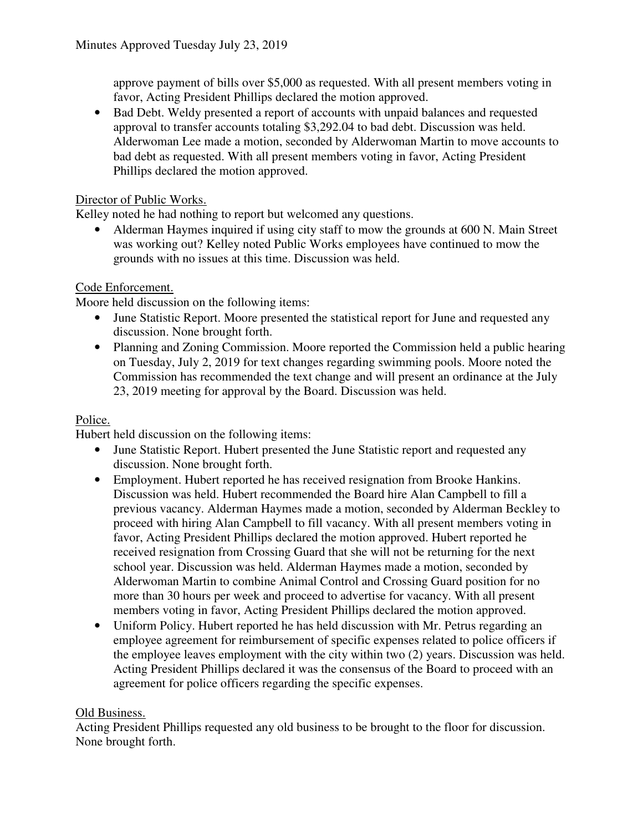approve payment of bills over \$5,000 as requested. With all present members voting in favor, Acting President Phillips declared the motion approved.

• Bad Debt. Weldy presented a report of accounts with unpaid balances and requested approval to transfer accounts totaling \$3,292.04 to bad debt. Discussion was held. Alderwoman Lee made a motion, seconded by Alderwoman Martin to move accounts to bad debt as requested. With all present members voting in favor, Acting President Phillips declared the motion approved.

### Director of Public Works.

Kelley noted he had nothing to report but welcomed any questions.

• Alderman Haymes inquired if using city staff to mow the grounds at 600 N. Main Street was working out? Kelley noted Public Works employees have continued to mow the grounds with no issues at this time. Discussion was held.

# Code Enforcement.

Moore held discussion on the following items:

- June Statistic Report. Moore presented the statistical report for June and requested any discussion. None brought forth.
- Planning and Zoning Commission. Moore reported the Commission held a public hearing on Tuesday, July 2, 2019 for text changes regarding swimming pools. Moore noted the Commission has recommended the text change and will present an ordinance at the July 23, 2019 meeting for approval by the Board. Discussion was held.

### Police.

Hubert held discussion on the following items:

- June Statistic Report. Hubert presented the June Statistic report and requested any discussion. None brought forth.
- Employment. Hubert reported he has received resignation from Brooke Hankins. Discussion was held. Hubert recommended the Board hire Alan Campbell to fill a previous vacancy. Alderman Haymes made a motion, seconded by Alderman Beckley to proceed with hiring Alan Campbell to fill vacancy. With all present members voting in favor, Acting President Phillips declared the motion approved. Hubert reported he received resignation from Crossing Guard that she will not be returning for the next school year. Discussion was held. Alderman Haymes made a motion, seconded by Alderwoman Martin to combine Animal Control and Crossing Guard position for no more than 30 hours per week and proceed to advertise for vacancy. With all present members voting in favor, Acting President Phillips declared the motion approved.
- Uniform Policy. Hubert reported he has held discussion with Mr. Petrus regarding an employee agreement for reimbursement of specific expenses related to police officers if the employee leaves employment with the city within two (2) years. Discussion was held. Acting President Phillips declared it was the consensus of the Board to proceed with an agreement for police officers regarding the specific expenses.

### Old Business.

Acting President Phillips requested any old business to be brought to the floor for discussion. None brought forth.